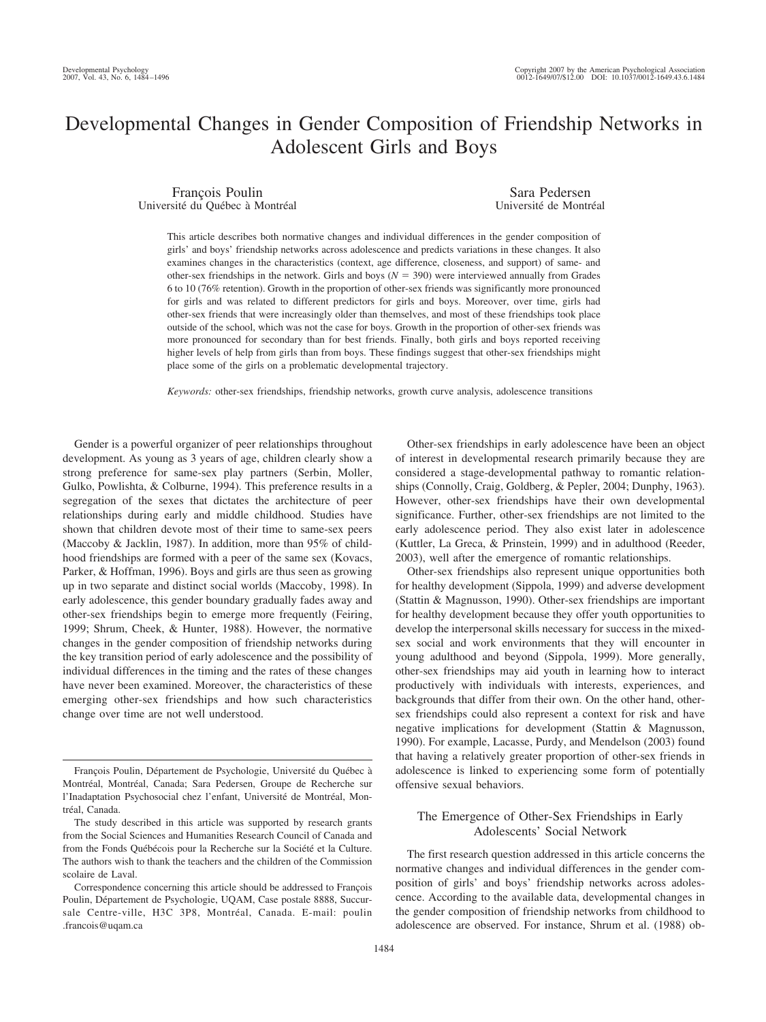# Developmental Changes in Gender Composition of Friendship Networks in Adolescent Girls and Boys

Francois Poulin Université du Québec à Montréal

Sara Pedersen Université de Montréal

This article describes both normative changes and individual differences in the gender composition of girls' and boys' friendship networks across adolescence and predicts variations in these changes. It also examines changes in the characteristics (context, age difference, closeness, and support) of same- and other-sex friendships in the network. Girls and boys ( $N = 390$ ) were interviewed annually from Grades 6 to 10 (76% retention). Growth in the proportion of other-sex friends was significantly more pronounced for girls and was related to different predictors for girls and boys. Moreover, over time, girls had other-sex friends that were increasingly older than themselves, and most of these friendships took place outside of the school, which was not the case for boys. Growth in the proportion of other-sex friends was more pronounced for secondary than for best friends. Finally, both girls and boys reported receiving higher levels of help from girls than from boys. These findings suggest that other-sex friendships might place some of the girls on a problematic developmental trajectory.

*Keywords:* other-sex friendships, friendship networks, growth curve analysis, adolescence transitions

Gender is a powerful organizer of peer relationships throughout development. As young as 3 years of age, children clearly show a strong preference for same-sex play partners (Serbin, Moller, Gulko, Powlishta, & Colburne, 1994). This preference results in a segregation of the sexes that dictates the architecture of peer relationships during early and middle childhood. Studies have shown that children devote most of their time to same-sex peers (Maccoby & Jacklin, 1987). In addition, more than 95% of childhood friendships are formed with a peer of the same sex (Kovacs, Parker, & Hoffman, 1996). Boys and girls are thus seen as growing up in two separate and distinct social worlds (Maccoby, 1998). In early adolescence, this gender boundary gradually fades away and other-sex friendships begin to emerge more frequently (Feiring, 1999; Shrum, Cheek, & Hunter, 1988). However, the normative changes in the gender composition of friendship networks during the key transition period of early adolescence and the possibility of individual differences in the timing and the rates of these changes have never been examined. Moreover, the characteristics of these emerging other-sex friendships and how such characteristics change over time are not well understood.

Other-sex friendships in early adolescence have been an object of interest in developmental research primarily because they are considered a stage-developmental pathway to romantic relationships (Connolly, Craig, Goldberg, & Pepler, 2004; Dunphy, 1963). However, other-sex friendships have their own developmental significance. Further, other-sex friendships are not limited to the early adolescence period. They also exist later in adolescence (Kuttler, La Greca, & Prinstein, 1999) and in adulthood (Reeder, 2003), well after the emergence of romantic relationships.

Other-sex friendships also represent unique opportunities both for healthy development (Sippola, 1999) and adverse development (Stattin & Magnusson, 1990). Other-sex friendships are important for healthy development because they offer youth opportunities to develop the interpersonal skills necessary for success in the mixedsex social and work environments that they will encounter in young adulthood and beyond (Sippola, 1999). More generally, other-sex friendships may aid youth in learning how to interact productively with individuals with interests, experiences, and backgrounds that differ from their own. On the other hand, othersex friendships could also represent a context for risk and have negative implications for development (Stattin & Magnusson, 1990). For example, Lacasse, Purdy, and Mendelson (2003) found that having a relatively greater proportion of other-sex friends in adolescence is linked to experiencing some form of potentially offensive sexual behaviors.

# The Emergence of Other-Sex Friendships in Early Adolescents' Social Network

The first research question addressed in this article concerns the normative changes and individual differences in the gender composition of girls' and boys' friendship networks across adolescence. According to the available data, developmental changes in the gender composition of friendship networks from childhood to adolescence are observed. For instance, Shrum et al. (1988) ob-

François Poulin, Département de Psychologie, Université du Québec à Montréal, Montréal, Canada; Sara Pedersen, Groupe de Recherche sur l'Inadaptation Psychosocial chez l'enfant, Université de Montréal, Montréal, Canada.

The study described in this article was supported by research grants from the Social Sciences and Humanities Research Council of Canada and from the Fonds Québécois pour la Recherche sur la Société et la Culture. The authors wish to thank the teachers and the children of the Commission scolaire de Laval.

Correspondence concerning this article should be addressed to François Poulin, Département de Psychologie, UQAM, Case postale 8888, Succursale Centre-ville, H3C 3P8, Montréal, Canada. E-mail: poulin .francois@uqam.ca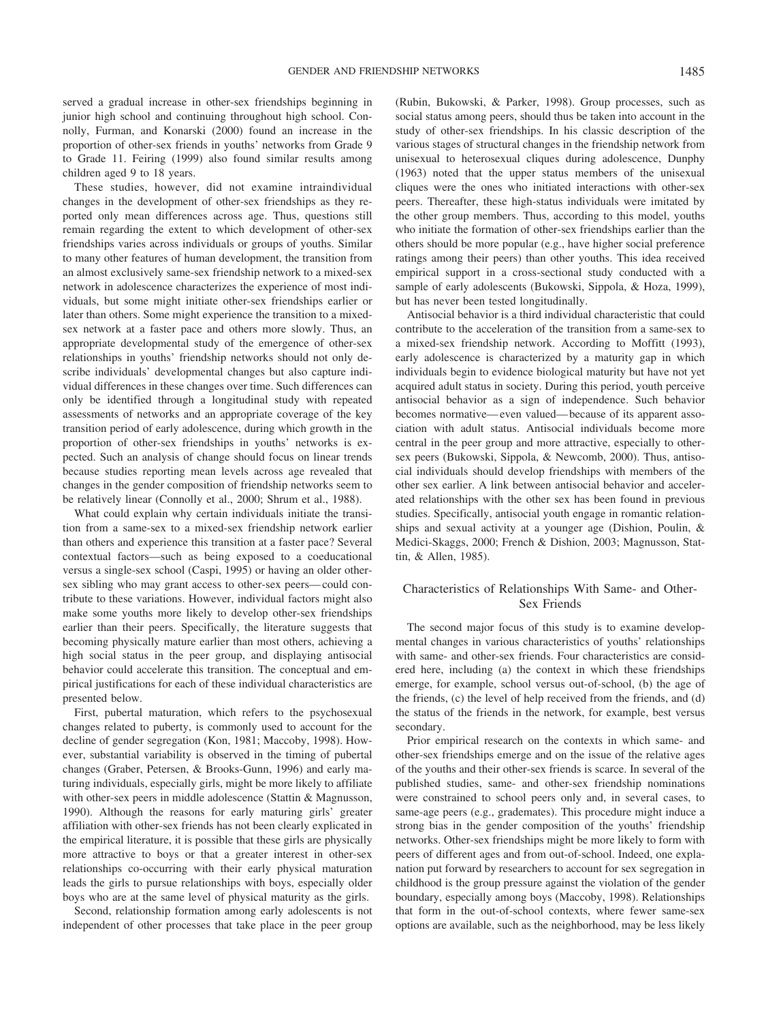served a gradual increase in other-sex friendships beginning in junior high school and continuing throughout high school. Connolly, Furman, and Konarski (2000) found an increase in the proportion of other-sex friends in youths' networks from Grade 9 to Grade 11. Feiring (1999) also found similar results among children aged 9 to 18 years.

These studies, however, did not examine intraindividual changes in the development of other-sex friendships as they reported only mean differences across age. Thus, questions still remain regarding the extent to which development of other-sex friendships varies across individuals or groups of youths. Similar to many other features of human development, the transition from an almost exclusively same-sex friendship network to a mixed-sex network in adolescence characterizes the experience of most individuals, but some might initiate other-sex friendships earlier or later than others. Some might experience the transition to a mixedsex network at a faster pace and others more slowly. Thus, an appropriate developmental study of the emergence of other-sex relationships in youths' friendship networks should not only describe individuals' developmental changes but also capture individual differences in these changes over time. Such differences can only be identified through a longitudinal study with repeated assessments of networks and an appropriate coverage of the key transition period of early adolescence, during which growth in the proportion of other-sex friendships in youths' networks is expected. Such an analysis of change should focus on linear trends because studies reporting mean levels across age revealed that changes in the gender composition of friendship networks seem to be relatively linear (Connolly et al., 2000; Shrum et al., 1988).

What could explain why certain individuals initiate the transition from a same-sex to a mixed-sex friendship network earlier than others and experience this transition at a faster pace? Several contextual factors—such as being exposed to a coeducational versus a single-sex school (Caspi, 1995) or having an older othersex sibling who may grant access to other-sex peers— could contribute to these variations. However, individual factors might also make some youths more likely to develop other-sex friendships earlier than their peers. Specifically, the literature suggests that becoming physically mature earlier than most others, achieving a high social status in the peer group, and displaying antisocial behavior could accelerate this transition. The conceptual and empirical justifications for each of these individual characteristics are presented below.

First, pubertal maturation, which refers to the psychosexual changes related to puberty, is commonly used to account for the decline of gender segregation (Kon, 1981; Maccoby, 1998). However, substantial variability is observed in the timing of pubertal changes (Graber, Petersen, & Brooks-Gunn, 1996) and early maturing individuals, especially girls, might be more likely to affiliate with other-sex peers in middle adolescence (Stattin & Magnusson, 1990). Although the reasons for early maturing girls' greater affiliation with other-sex friends has not been clearly explicated in the empirical literature, it is possible that these girls are physically more attractive to boys or that a greater interest in other-sex relationships co-occurring with their early physical maturation leads the girls to pursue relationships with boys, especially older boys who are at the same level of physical maturity as the girls.

Second, relationship formation among early adolescents is not independent of other processes that take place in the peer group (Rubin, Bukowski, & Parker, 1998). Group processes, such as social status among peers, should thus be taken into account in the study of other-sex friendships. In his classic description of the various stages of structural changes in the friendship network from unisexual to heterosexual cliques during adolescence, Dunphy (1963) noted that the upper status members of the unisexual cliques were the ones who initiated interactions with other-sex peers. Thereafter, these high-status individuals were imitated by the other group members. Thus, according to this model, youths who initiate the formation of other-sex friendships earlier than the others should be more popular (e.g., have higher social preference ratings among their peers) than other youths. This idea received empirical support in a cross-sectional study conducted with a sample of early adolescents (Bukowski, Sippola, & Hoza, 1999), but has never been tested longitudinally.

Antisocial behavior is a third individual characteristic that could contribute to the acceleration of the transition from a same-sex to a mixed-sex friendship network. According to Moffitt (1993), early adolescence is characterized by a maturity gap in which individuals begin to evidence biological maturity but have not yet acquired adult status in society. During this period, youth perceive antisocial behavior as a sign of independence. Such behavior becomes normative— even valued— because of its apparent association with adult status. Antisocial individuals become more central in the peer group and more attractive, especially to othersex peers (Bukowski, Sippola, & Newcomb, 2000). Thus, antisocial individuals should develop friendships with members of the other sex earlier. A link between antisocial behavior and accelerated relationships with the other sex has been found in previous studies. Specifically, antisocial youth engage in romantic relationships and sexual activity at a younger age (Dishion, Poulin, & Medici-Skaggs, 2000; French & Dishion, 2003; Magnusson, Stattin, & Allen, 1985).

# Characteristics of Relationships With Same- and Other-Sex Friends

The second major focus of this study is to examine developmental changes in various characteristics of youths' relationships with same- and other-sex friends. Four characteristics are considered here, including (a) the context in which these friendships emerge, for example, school versus out-of-school, (b) the age of the friends, (c) the level of help received from the friends, and (d) the status of the friends in the network, for example, best versus secondary.

Prior empirical research on the contexts in which same- and other-sex friendships emerge and on the issue of the relative ages of the youths and their other-sex friends is scarce. In several of the published studies, same- and other-sex friendship nominations were constrained to school peers only and, in several cases, to same-age peers (e.g., grademates). This procedure might induce a strong bias in the gender composition of the youths' friendship networks. Other-sex friendships might be more likely to form with peers of different ages and from out-of-school. Indeed, one explanation put forward by researchers to account for sex segregation in childhood is the group pressure against the violation of the gender boundary, especially among boys (Maccoby, 1998). Relationships that form in the out-of-school contexts, where fewer same-sex options are available, such as the neighborhood, may be less likely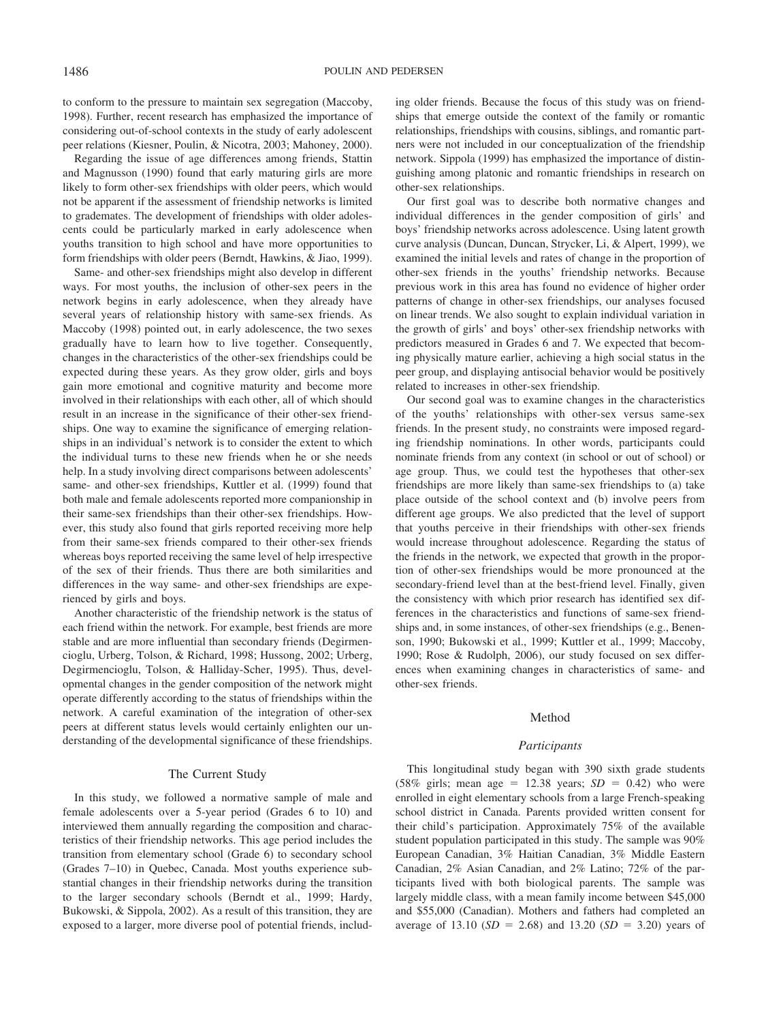to conform to the pressure to maintain sex segregation (Maccoby, 1998). Further, recent research has emphasized the importance of considering out-of-school contexts in the study of early adolescent peer relations (Kiesner, Poulin, & Nicotra, 2003; Mahoney, 2000).

Regarding the issue of age differences among friends, Stattin and Magnusson (1990) found that early maturing girls are more likely to form other-sex friendships with older peers, which would not be apparent if the assessment of friendship networks is limited to grademates. The development of friendships with older adolescents could be particularly marked in early adolescence when youths transition to high school and have more opportunities to form friendships with older peers (Berndt, Hawkins, & Jiao, 1999).

Same- and other-sex friendships might also develop in different ways. For most youths, the inclusion of other-sex peers in the network begins in early adolescence, when they already have several years of relationship history with same-sex friends. As Maccoby (1998) pointed out, in early adolescence, the two sexes gradually have to learn how to live together. Consequently, changes in the characteristics of the other-sex friendships could be expected during these years. As they grow older, girls and boys gain more emotional and cognitive maturity and become more involved in their relationships with each other, all of which should result in an increase in the significance of their other-sex friendships. One way to examine the significance of emerging relationships in an individual's network is to consider the extent to which the individual turns to these new friends when he or she needs help. In a study involving direct comparisons between adolescents' same- and other-sex friendships, Kuttler et al. (1999) found that both male and female adolescents reported more companionship in their same-sex friendships than their other-sex friendships. However, this study also found that girls reported receiving more help from their same-sex friends compared to their other-sex friends whereas boys reported receiving the same level of help irrespective of the sex of their friends. Thus there are both similarities and differences in the way same- and other-sex friendships are experienced by girls and boys.

Another characteristic of the friendship network is the status of each friend within the network. For example, best friends are more stable and are more influential than secondary friends (Degirmencioglu, Urberg, Tolson, & Richard, 1998; Hussong, 2002; Urberg, Degirmencioglu, Tolson, & Halliday-Scher, 1995). Thus, developmental changes in the gender composition of the network might operate differently according to the status of friendships within the network. A careful examination of the integration of other-sex peers at different status levels would certainly enlighten our understanding of the developmental significance of these friendships.

## The Current Study

In this study, we followed a normative sample of male and female adolescents over a 5-year period (Grades 6 to 10) and interviewed them annually regarding the composition and characteristics of their friendship networks. This age period includes the transition from elementary school (Grade 6) to secondary school (Grades 7–10) in Quebec, Canada. Most youths experience substantial changes in their friendship networks during the transition to the larger secondary schools (Berndt et al., 1999; Hardy, Bukowski, & Sippola, 2002). As a result of this transition, they are exposed to a larger, more diverse pool of potential friends, including older friends. Because the focus of this study was on friendships that emerge outside the context of the family or romantic relationships, friendships with cousins, siblings, and romantic partners were not included in our conceptualization of the friendship network. Sippola (1999) has emphasized the importance of distinguishing among platonic and romantic friendships in research on other-sex relationships.

Our first goal was to describe both normative changes and individual differences in the gender composition of girls' and boys' friendship networks across adolescence. Using latent growth curve analysis (Duncan, Duncan, Strycker, Li, & Alpert, 1999), we examined the initial levels and rates of change in the proportion of other-sex friends in the youths' friendship networks. Because previous work in this area has found no evidence of higher order patterns of change in other-sex friendships, our analyses focused on linear trends. We also sought to explain individual variation in the growth of girls' and boys' other-sex friendship networks with predictors measured in Grades 6 and 7. We expected that becoming physically mature earlier, achieving a high social status in the peer group, and displaying antisocial behavior would be positively related to increases in other-sex friendship.

Our second goal was to examine changes in the characteristics of the youths' relationships with other-sex versus same-sex friends. In the present study, no constraints were imposed regarding friendship nominations. In other words, participants could nominate friends from any context (in school or out of school) or age group. Thus, we could test the hypotheses that other-sex friendships are more likely than same-sex friendships to (a) take place outside of the school context and (b) involve peers from different age groups. We also predicted that the level of support that youths perceive in their friendships with other-sex friends would increase throughout adolescence. Regarding the status of the friends in the network, we expected that growth in the proportion of other-sex friendships would be more pronounced at the secondary-friend level than at the best-friend level. Finally, given the consistency with which prior research has identified sex differences in the characteristics and functions of same-sex friendships and, in some instances, of other-sex friendships (e.g., Benenson, 1990; Bukowski et al., 1999; Kuttler et al., 1999; Maccoby, 1990; Rose & Rudolph, 2006), our study focused on sex differences when examining changes in characteristics of same- and other-sex friends.

## Method

## *Participants*

This longitudinal study began with 390 sixth grade students (58% girls; mean age  $= 12.38$  years;  $SD = 0.42$ ) who were enrolled in eight elementary schools from a large French-speaking school district in Canada. Parents provided written consent for their child's participation. Approximately 75% of the available student population participated in this study. The sample was 90% European Canadian, 3% Haitian Canadian, 3% Middle Eastern Canadian, 2% Asian Canadian, and 2% Latino; 72% of the participants lived with both biological parents. The sample was largely middle class, with a mean family income between \$45,000 and \$55,000 (Canadian). Mothers and fathers had completed an average of 13.10 ( $SD = 2.68$ ) and 13.20 ( $SD = 3.20$ ) years of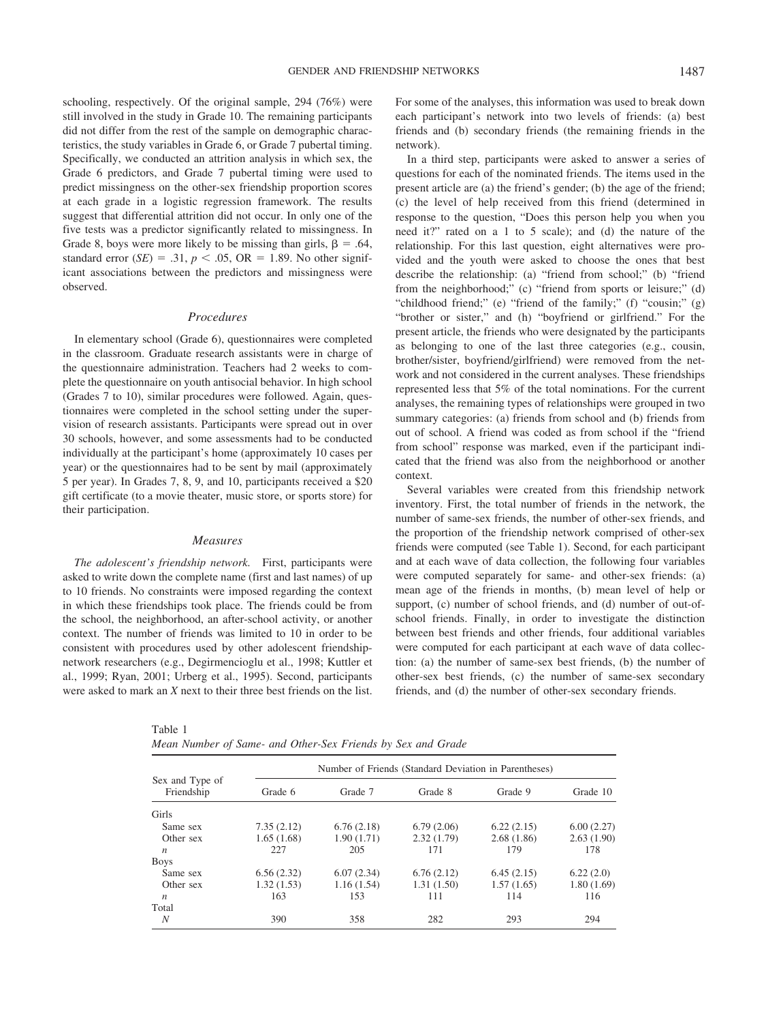schooling, respectively. Of the original sample, 294 (76%) were still involved in the study in Grade 10. The remaining participants did not differ from the rest of the sample on demographic characteristics, the study variables in Grade 6, or Grade 7 pubertal timing. Specifically, we conducted an attrition analysis in which sex, the Grade 6 predictors, and Grade 7 pubertal timing were used to predict missingness on the other-sex friendship proportion scores at each grade in a logistic regression framework. The results suggest that differential attrition did not occur. In only one of the five tests was a predictor significantly related to missingness. In Grade 8, boys were more likely to be missing than girls,  $\beta = .64$ , standard error  $(SE) = .31$ ,  $p < .05$ ,  $OR = 1.89$ . No other significant associations between the predictors and missingness were observed.

### *Procedures*

In elementary school (Grade 6), questionnaires were completed in the classroom. Graduate research assistants were in charge of the questionnaire administration. Teachers had 2 weeks to complete the questionnaire on youth antisocial behavior. In high school (Grades 7 to 10), similar procedures were followed. Again, questionnaires were completed in the school setting under the supervision of research assistants. Participants were spread out in over 30 schools, however, and some assessments had to be conducted individually at the participant's home (approximately 10 cases per year) or the questionnaires had to be sent by mail (approximately 5 per year). In Grades 7, 8, 9, and 10, participants received a \$20 gift certificate (to a movie theater, music store, or sports store) for their participation.

#### *Measures*

*The adolescent's friendship network.* First, participants were asked to write down the complete name (first and last names) of up to 10 friends. No constraints were imposed regarding the context in which these friendships took place. The friends could be from the school, the neighborhood, an after-school activity, or another context. The number of friends was limited to 10 in order to be consistent with procedures used by other adolescent friendshipnetwork researchers (e.g., Degirmencioglu et al., 1998; Kuttler et al., 1999; Ryan, 2001; Urberg et al., 1995). Second, participants were asked to mark an *X* next to their three best friends on the list.

| × | ۰, |  |
|---|----|--|
|   |    |  |

For some of the analyses, this information was used to break down each participant's network into two levels of friends: (a) best friends and (b) secondary friends (the remaining friends in the network).

In a third step, participants were asked to answer a series of questions for each of the nominated friends. The items used in the present article are (a) the friend's gender; (b) the age of the friend; (c) the level of help received from this friend (determined in response to the question, "Does this person help you when you need it?" rated on a 1 to 5 scale); and (d) the nature of the relationship. For this last question, eight alternatives were provided and the youth were asked to choose the ones that best describe the relationship: (a) "friend from school;" (b) "friend from the neighborhood;" (c) "friend from sports or leisure;" (d) "childhood friend;" (e) "friend of the family;" (f) "cousin;" (g) "brother or sister," and (h) "boyfriend or girlfriend." For the present article, the friends who were designated by the participants as belonging to one of the last three categories (e.g., cousin, brother/sister, boyfriend/girlfriend) were removed from the network and not considered in the current analyses. These friendships represented less that 5% of the total nominations. For the current analyses, the remaining types of relationships were grouped in two summary categories: (a) friends from school and (b) friends from out of school. A friend was coded as from school if the "friend from school" response was marked, even if the participant indicated that the friend was also from the neighborhood or another context.

Several variables were created from this friendship network inventory. First, the total number of friends in the network, the number of same-sex friends, the number of other-sex friends, and the proportion of the friendship network comprised of other-sex friends were computed (see Table 1). Second, for each participant and at each wave of data collection, the following four variables were computed separately for same- and other-sex friends: (a) mean age of the friends in months, (b) mean level of help or support, (c) number of school friends, and (d) number of out-ofschool friends. Finally, in order to investigate the distinction between best friends and other friends, four additional variables were computed for each participant at each wave of data collection: (a) the number of same-sex best friends, (b) the number of other-sex best friends, (c) the number of same-sex secondary friends, and (d) the number of other-sex secondary friends.

|                               | Number of Friends (Standard Deviation in Parentheses) |            |            |            |            |  |  |  |
|-------------------------------|-------------------------------------------------------|------------|------------|------------|------------|--|--|--|
| Sex and Type of<br>Friendship | Grade 6                                               | Grade 7    | Grade 8    | Grade 9    | Grade 10   |  |  |  |
| Girls                         |                                                       |            |            |            |            |  |  |  |
| Same sex                      | 7.35(2.12)                                            | 6.76(2.18) | 6.79(2.06) | 6.22(2.15) | 6.00(2.27) |  |  |  |
| Other sex                     | 1.65(1.68)                                            | 1.90(1.71) | 2.32(1.79) | 2.68(1.86) | 2.63(1.90) |  |  |  |
| $\boldsymbol{n}$              | 227                                                   | 205        | 171        | 179        | 178        |  |  |  |
| <b>Boys</b>                   |                                                       |            |            |            |            |  |  |  |
| Same sex                      | 6.56(2.32)                                            | 6.07(2.34) | 6.76(2.12) | 6.45(2.15) | 6.22(2.0)  |  |  |  |
| Other sex                     | 1.32(1.53)                                            | 1.16(1.54) | 1.31(1.50) | 1.57(1.65) | 1.80(1.69) |  |  |  |
| n                             | 163                                                   | 153        | 111        | 114        | 116        |  |  |  |
| Total                         |                                                       |            |            |            |            |  |  |  |
| N                             | 390                                                   | 358        | 282        | 293        | 294        |  |  |  |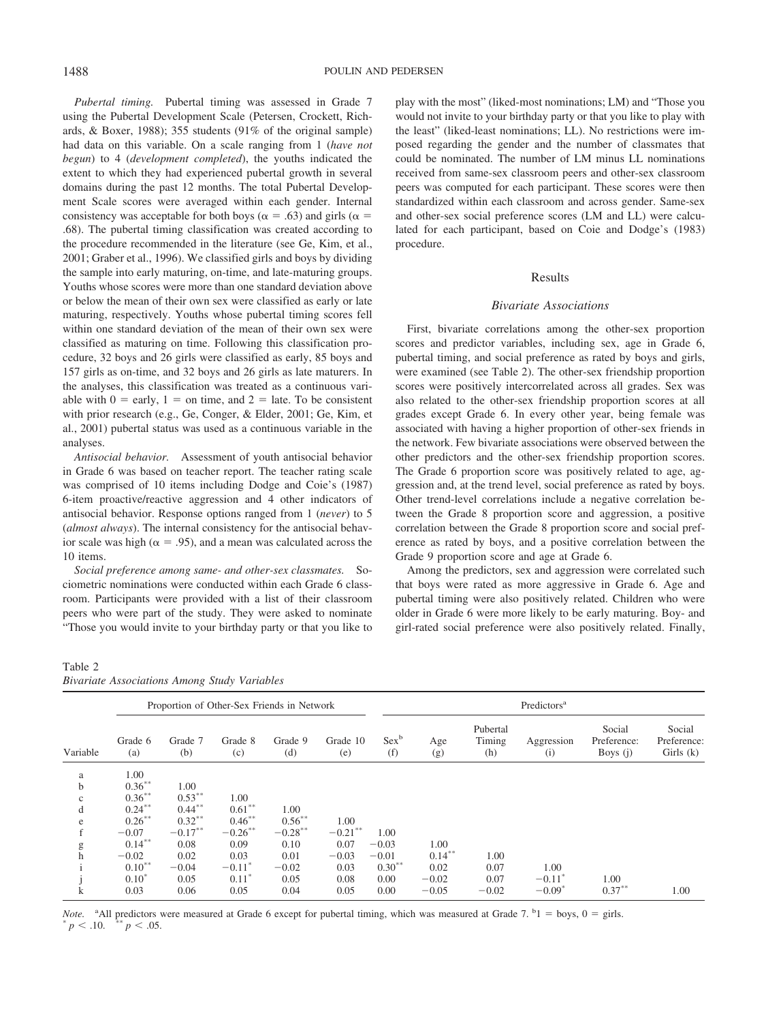*Pubertal timing.* Pubertal timing was assessed in Grade 7 using the Pubertal Development Scale (Petersen, Crockett, Richards, & Boxer, 1988); 355 students (91% of the original sample) had data on this variable. On a scale ranging from 1 (*have not begun*) to 4 (*development completed*), the youths indicated the extent to which they had experienced pubertal growth in several domains during the past 12 months. The total Pubertal Development Scale scores were averaged within each gender. Internal consistency was acceptable for both boys ( $\alpha$  = .63) and girls ( $\alpha$  = .68). The pubertal timing classification was created according to the procedure recommended in the literature (see Ge, Kim, et al., 2001; Graber et al., 1996). We classified girls and boys by dividing the sample into early maturing, on-time, and late-maturing groups. Youths whose scores were more than one standard deviation above or below the mean of their own sex were classified as early or late maturing, respectively. Youths whose pubertal timing scores fell within one standard deviation of the mean of their own sex were classified as maturing on time. Following this classification procedure, 32 boys and 26 girls were classified as early, 85 boys and 157 girls as on-time, and 32 boys and 26 girls as late maturers. In the analyses, this classification was treated as a continuous variable with  $0 =$  early,  $1 =$  on time, and  $2 =$  late. To be consistent with prior research (e.g., Ge, Conger, & Elder, 2001; Ge, Kim, et al., 2001) pubertal status was used as a continuous variable in the analyses.

*Antisocial behavior.* Assessment of youth antisocial behavior in Grade 6 was based on teacher report. The teacher rating scale was comprised of 10 items including Dodge and Coie's (1987) 6-item proactive/reactive aggression and 4 other indicators of antisocial behavior. Response options ranged from 1 (*never*) to 5 (*almost always*). The internal consistency for the antisocial behavior scale was high ( $\alpha = .95$ ), and a mean was calculated across the 10 items.

*Social preference among same- and other-sex classmates.* Sociometric nominations were conducted within each Grade 6 classroom. Participants were provided with a list of their classroom peers who were part of the study. They were asked to nominate "Those you would invite to your birthday party or that you like to play with the most" (liked-most nominations; LM) and "Those you would not invite to your birthday party or that you like to play with the least" (liked-least nominations; LL). No restrictions were imposed regarding the gender and the number of classmates that could be nominated. The number of LM minus LL nominations received from same-sex classroom peers and other-sex classroom peers was computed for each participant. These scores were then standardized within each classroom and across gender. Same-sex and other-sex social preference scores (LM and LL) were calculated for each participant, based on Coie and Dodge's (1983) procedure.

## Results

### *Bivariate Associations*

First, bivariate correlations among the other-sex proportion scores and predictor variables, including sex, age in Grade 6, pubertal timing, and social preference as rated by boys and girls, were examined (see Table 2). The other-sex friendship proportion scores were positively intercorrelated across all grades. Sex was also related to the other-sex friendship proportion scores at all grades except Grade 6. In every other year, being female was associated with having a higher proportion of other-sex friends in the network. Few bivariate associations were observed between the other predictors and the other-sex friendship proportion scores. The Grade 6 proportion score was positively related to age, aggression and, at the trend level, social preference as rated by boys. Other trend-level correlations include a negative correlation between the Grade 8 proportion score and aggression, a positive correlation between the Grade 8 proportion score and social preference as rated by boys, and a positive correlation between the Grade 9 proportion score and age at Grade 6.

Among the predictors, sex and aggression were correlated such that boys were rated as more aggressive in Grade 6. Age and pubertal timing were also positively related. Children who were older in Grade 6 were more likely to be early maturing. Boy- and girl-rated social preference were also positively related. Finally,

| Table 2 |                                              |  |  |
|---------|----------------------------------------------|--|--|
|         | Bivariate Associations Among Study Variables |  |  |

|              | Proportion of Other-Sex Friends in Network |                |                      |                |                 | Predictors <sup>a</sup> |            |                           |                   |                                     |                                      |
|--------------|--------------------------------------------|----------------|----------------------|----------------|-----------------|-------------------------|------------|---------------------------|-------------------|-------------------------------------|--------------------------------------|
| Variable     | Grade 6<br>(a)                             | Grade 7<br>(b) | Grade 8<br>(c)       | Grade 9<br>(d) | Grade 10<br>(e) | $Sex^b$<br>(f)          | Age<br>(g) | Pubertal<br>Timing<br>(h) | Aggression<br>(i) | Social<br>Preference:<br>Boys $(i)$ | Social<br>Preference:<br>Girls $(k)$ |
| a            | 1.00                                       |                |                      |                |                 |                         |            |                           |                   |                                     |                                      |
| b            | $0.36***$                                  | 1.00           |                      |                |                 |                         |            |                           |                   |                                     |                                      |
| $\mathbf c$  | $0.36***$                                  | $0.53***$      | 1.00                 |                |                 |                         |            |                           |                   |                                     |                                      |
| d            | $0.24***$                                  | $0.44***$      | $0.61***$            | 1.00           |                 |                         |            |                           |                   |                                     |                                      |
| e            | $0.26***$                                  | $0.32***$      | $0.46***$            | $0.56***$      | 1.00            |                         |            |                           |                   |                                     |                                      |
| $\mathbf{f}$ | $-0.07$                                    | $-0.17***$     | $-0.26***$           | $-0.28***$     | $-0.21$ **      | 1.00                    |            |                           |                   |                                     |                                      |
| g            | $0.14***$                                  | 0.08           | 0.09                 | 0.10           | 0.07            | $-0.03$                 | 1.00       |                           |                   |                                     |                                      |
| h            | $-0.02$                                    | 0.02           | 0.03                 | 0.01           | $-0.03$         | $-0.01$                 | $0.14***$  | 1.00                      |                   |                                     |                                      |
|              | $0.10***$                                  | $-0.04$        | $-0.11$ <sup>*</sup> | $-0.02$        | 0.03            | $0.30***$               | 0.02       | 0.07                      | 1.00              |                                     |                                      |
|              | $0.10^*$                                   | 0.05           | $0.11*$              | 0.05           | 0.08            | 0.00                    | $-0.02$    | 0.07                      | $-0.11^*$         | 1.00                                |                                      |
| k            | 0.03                                       | 0.06           | 0.05                 | 0.04           | 0.05            | 0.00                    | $-0.05$    | $-0.02$                   | $-0.09^*$         | $0.37***$                           | 1.00                                 |

*Note.* <sup>a</sup> All predictors were measured at Grade 6 except for pubertal timing, which was measured at Grade 7.  $b_1 = b_0$ ,  $0 = g$ irls.  $p < .10$ .  $b_2 = 0.05$ .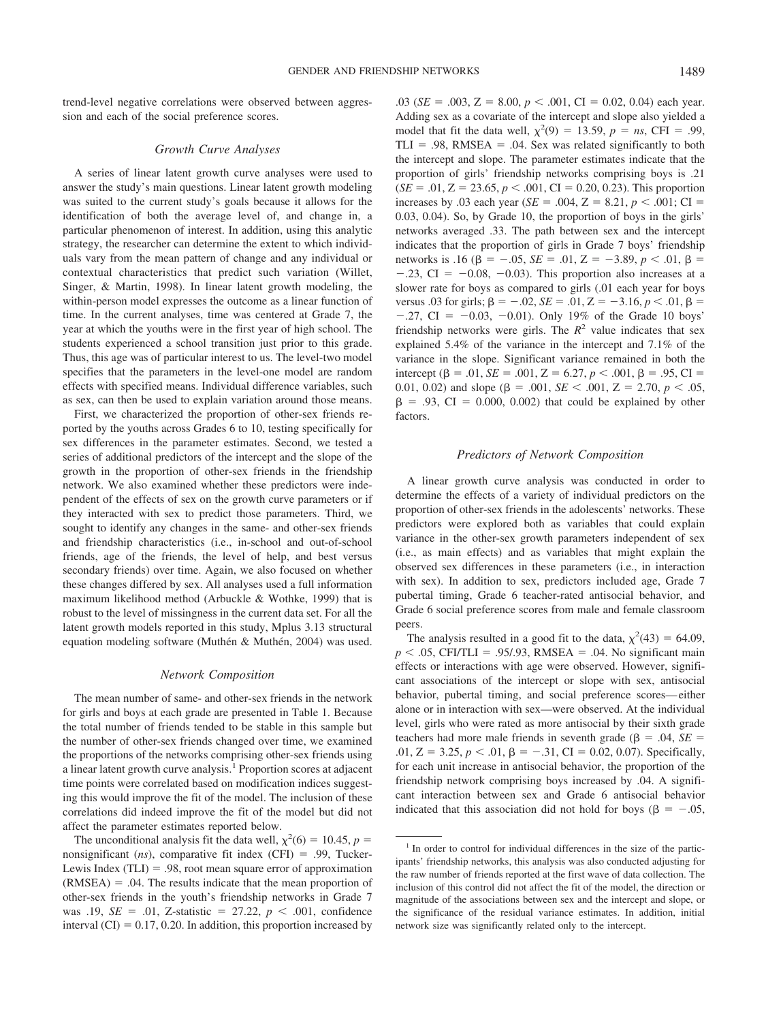trend-level negative correlations were observed between aggression and each of the social preference scores.

## *Growth Curve Analyses*

A series of linear latent growth curve analyses were used to answer the study's main questions. Linear latent growth modeling was suited to the current study's goals because it allows for the identification of both the average level of, and change in, a particular phenomenon of interest. In addition, using this analytic strategy, the researcher can determine the extent to which individuals vary from the mean pattern of change and any individual or contextual characteristics that predict such variation (Willet, Singer, & Martin, 1998). In linear latent growth modeling, the within-person model expresses the outcome as a linear function of time. In the current analyses, time was centered at Grade 7, the year at which the youths were in the first year of high school. The students experienced a school transition just prior to this grade. Thus, this age was of particular interest to us. The level-two model specifies that the parameters in the level-one model are random effects with specified means. Individual difference variables, such as sex, can then be used to explain variation around those means.

First, we characterized the proportion of other-sex friends reported by the youths across Grades 6 to 10, testing specifically for sex differences in the parameter estimates. Second, we tested a series of additional predictors of the intercept and the slope of the growth in the proportion of other-sex friends in the friendship network. We also examined whether these predictors were independent of the effects of sex on the growth curve parameters or if they interacted with sex to predict those parameters. Third, we sought to identify any changes in the same- and other-sex friends and friendship characteristics (i.e., in-school and out-of-school friends, age of the friends, the level of help, and best versus secondary friends) over time. Again, we also focused on whether these changes differed by sex. All analyses used a full information maximum likelihood method (Arbuckle & Wothke, 1999) that is robust to the level of missingness in the current data set. For all the latent growth models reported in this study, Mplus 3.13 structural equation modeling software (Muthén & Muthén, 2004) was used.

### *Network Composition*

The mean number of same- and other-sex friends in the network for girls and boys at each grade are presented in Table 1. Because the total number of friends tended to be stable in this sample but the number of other-sex friends changed over time, we examined the proportions of the networks comprising other-sex friends using a linear latent growth curve analysis.<sup>1</sup> Proportion scores at adjacent time points were correlated based on modification indices suggesting this would improve the fit of the model. The inclusion of these correlations did indeed improve the fit of the model but did not affect the parameter estimates reported below.

The unconditional analysis fit the data well,  $\chi^2(6) = 10.45$ ,  $p =$ nonsignificant  $(ns)$ , comparative fit index  $(CFI) = .99$ , Tucker-Lewis Index  $(TLI) = .98$ , root mean square error of approximation  $(RMSEA) = .04$ . The results indicate that the mean proportion of other-sex friends in the youth's friendship networks in Grade 7 was .19,  $SE = .01$ , Z-statistic = 27.22,  $p < .001$ , confidence interval  $\text{(CI)} = 0.17, 0.20$ . In addition, this proportion increased by

 $.03$  (*SE* = .003, Z = 8.00,  $p < .001$ , CI = 0.02, 0.04) each year. Adding sex as a covariate of the intercept and slope also yielded a model that fit the data well,  $\chi^2(9) = 13.59$ ,  $p = ns$ , CFI = .99,  $TLI = .98$ , RMSEA =  $.04$ . Sex was related significantly to both the intercept and slope. The parameter estimates indicate that the proportion of girls' friendship networks comprising boys is .21  $(SE = .01, Z = 23.65, p < .001, CI = 0.20, 0.23)$ . This proportion increases by .03 each year (*SE* = .004, Z = 8.21,  $p < .001$ ; CI = 0.03, 0.04). So, by Grade 10, the proportion of boys in the girls' networks averaged .33. The path between sex and the intercept indicates that the proportion of girls in Grade 7 boys' friendship networks is .16 ( $\beta = -.05$ ,  $SE = .01$ ,  $Z = -3.89$ ,  $p < .01$ ,  $\beta =$  $-.23$ , CI =  $-0.08$ ,  $-0.03$ ). This proportion also increases at a slower rate for boys as compared to girls (.01 each year for boys versus .03 for girls;  $\beta = -.02$ ,  $SE = .01$ ,  $Z = -3.16$ ,  $p < .01$ ,  $\beta =$  $-.27, CI = -0.03, -0.01$ . Only 19% of the Grade 10 boys' friendship networks were girls. The  $R^2$  value indicates that sex explained 5.4% of the variance in the intercept and 7.1% of the variance in the slope. Significant variance remained in both the intercept ( $\beta = .01$ ,  $SE = .001$ ,  $Z = 6.27$ ,  $p < .001$ ,  $\beta = .95$ , CI = 0.01, 0.02) and slope ( $\beta = .001$ ,  $SE < .001$ ,  $Z = 2.70$ ,  $p < .05$ ,  $\beta = .93$ , CI = 0.000, 0.002) that could be explained by other factors.

## *Predictors of Network Composition*

A linear growth curve analysis was conducted in order to determine the effects of a variety of individual predictors on the proportion of other-sex friends in the adolescents' networks. These predictors were explored both as variables that could explain variance in the other-sex growth parameters independent of sex (i.e., as main effects) and as variables that might explain the observed sex differences in these parameters (i.e., in interaction with sex). In addition to sex, predictors included age, Grade 7 pubertal timing, Grade 6 teacher-rated antisocial behavior, and Grade 6 social preference scores from male and female classroom peers.

The analysis resulted in a good fit to the data,  $\chi^2(43) = 64.09$ ,  $p < .05$ , CFI/TLI = .95/.93, RMSEA = .04. No significant main effects or interactions with age were observed. However, significant associations of the intercept or slope with sex, antisocial behavior, pubertal timing, and social preference scores— either alone or in interaction with sex—were observed. At the individual level, girls who were rated as more antisocial by their sixth grade teachers had more male friends in seventh grade ( $\beta = .04$ ,  $SE =$ .01, Z = 3.25,  $p < .01$ ,  $\beta = -.31$ , CI = 0.02, 0.07). Specifically, for each unit increase in antisocial behavior, the proportion of the friendship network comprising boys increased by .04. A significant interaction between sex and Grade 6 antisocial behavior indicated that this association did not hold for boys ( $\beta = -.05$ ,

<sup>&</sup>lt;sup>1</sup> In order to control for individual differences in the size of the participants' friendship networks, this analysis was also conducted adjusting for the raw number of friends reported at the first wave of data collection. The inclusion of this control did not affect the fit of the model, the direction or magnitude of the associations between sex and the intercept and slope, or the significance of the residual variance estimates. In addition, initial network size was significantly related only to the intercept.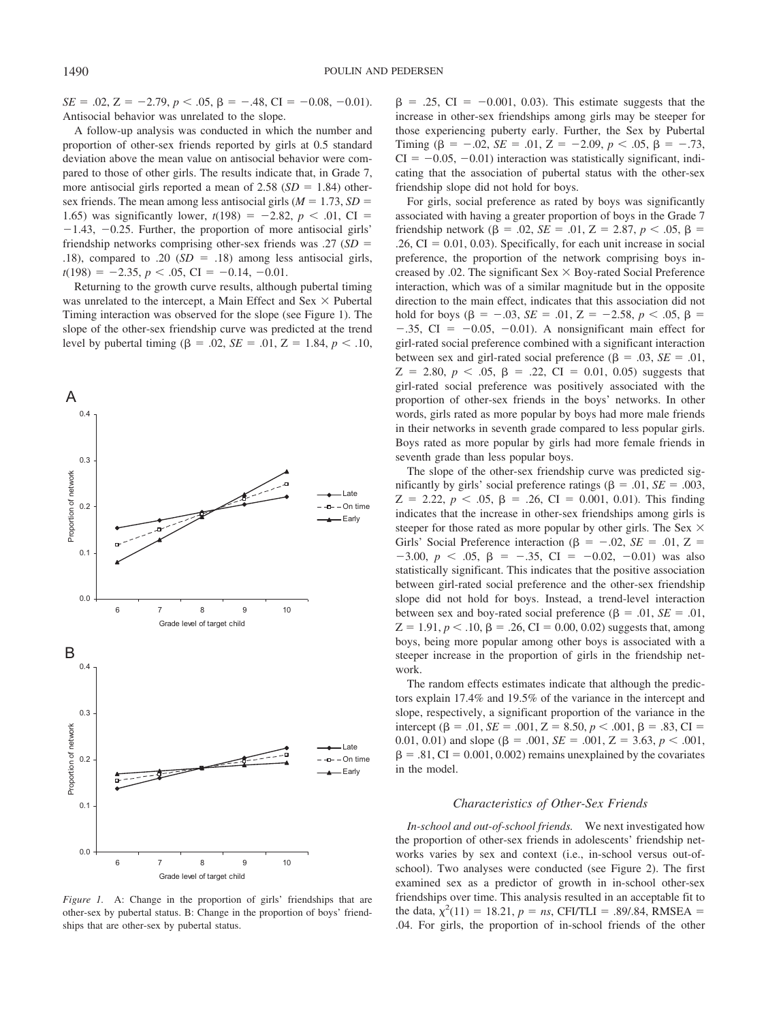$SE = .02$ ,  $Z = -2.79$ ,  $p < .05$ ,  $\beta = -.48$ ,  $CI = -0.08$ ,  $-0.01$ ). Antisocial behavior was unrelated to the slope.

A follow-up analysis was conducted in which the number and proportion of other-sex friends reported by girls at 0.5 standard deviation above the mean value on antisocial behavior were compared to those of other girls. The results indicate that, in Grade 7, more antisocial girls reported a mean of  $2.58$  ( $SD = 1.84$ ) othersex friends. The mean among less antisocial girls  $(M = 1.73, SD =$ 1.65) was significantly lower,  $t(198) = -2.82$ ,  $p < .01$ , CI  $-1.43$ ,  $-0.25$ . Further, the proportion of more antisocial girls' friendship networks comprising other-sex friends was .27 (*SD* .18), compared to .20  $(SD = .18)$  among less antisocial girls,  $t(198) = -2.35, p < .05, CI = -0.14, -0.01.$ 

Returning to the growth curve results, although pubertal timing was unrelated to the intercept, a Main Effect and Sex  $\times$  Pubertal Timing interaction was observed for the slope (see Figure 1). The slope of the other-sex friendship curve was predicted at the trend level by pubertal timing ( $\beta = .02$ ,  $SE = .01$ ,  $Z = 1.84$ ,  $p < .10$ ,



*Figure 1.* A: Change in the proportion of girls' friendships that are other-sex by pubertal status. B: Change in the proportion of boys' friendships that are other-sex by pubertal status.

 $\beta = .25$ , CI = -0.001, 0.03). This estimate suggests that the increase in other-sex friendships among girls may be steeper for those experiencing puberty early. Further, the Sex by Pubertal Timing  $(\beta = -.02, SE = .01, Z = -2.09, p < .05, \beta = -.73,$  $CI = -0.05, -0.01$ ) interaction was statistically significant, indicating that the association of pubertal status with the other-sex friendship slope did not hold for boys.

For girls, social preference as rated by boys was significantly associated with having a greater proportion of boys in the Grade 7 friendship network ( $\beta = .02$ ,  $SE = .01$ ,  $Z = 2.87$ ,  $p < .05$ ,  $\beta =$ .26,  $CI = 0.01, 0.03$ . Specifically, for each unit increase in social preference, the proportion of the network comprising boys increased by .02. The significant Sex  $\times$  Boy-rated Social Preference interaction, which was of a similar magnitude but in the opposite direction to the main effect, indicates that this association did not hold for boys ( $\beta = -.03$ ,  $SE = .01$ ,  $Z = -2.58$ ,  $p < .05$ ,  $\beta =$  $-.35$ , CI =  $-0.05$ ,  $-0.01$ ). A nonsignificant main effect for girl-rated social preference combined with a significant interaction between sex and girl-rated social preference ( $\beta = .03$ ,  $SE = .01$ ,  $Z = 2.80, p < .05, \beta = .22, CI = 0.01, 0.05$  suggests that girl-rated social preference was positively associated with the proportion of other-sex friends in the boys' networks. In other words, girls rated as more popular by boys had more male friends in their networks in seventh grade compared to less popular girls. Boys rated as more popular by girls had more female friends in seventh grade than less popular boys.

The slope of the other-sex friendship curve was predicted significantly by girls' social preference ratings ( $\beta = .01$ ,  $SE = .003$ ,  $Z = 2.22, p < .05, \beta = .26, CI = 0.001, 0.01$ . This finding indicates that the increase in other-sex friendships among girls is steeper for those rated as more popular by other girls. The Sex  $\times$ Girls' Social Preference interaction ( $\beta = -.02$ ,  $SE = .01$ , Z =  $-3.00, p \leq .05, \beta = -.35, \text{CI} = -0.02, -0.01)$  was also statistically significant. This indicates that the positive association between girl-rated social preference and the other-sex friendship slope did not hold for boys. Instead, a trend-level interaction between sex and boy-rated social preference ( $\beta = .01$ ,  $SE = .01$ ,  $Z = 1.91, p < .10, \beta = .26, CI = 0.00, 0.02$  suggests that, among boys, being more popular among other boys is associated with a steeper increase in the proportion of girls in the friendship network.

The random effects estimates indicate that although the predictors explain 17.4% and 19.5% of the variance in the intercept and slope, respectively, a significant proportion of the variance in the intercept ( $\beta = .01$ ,  $SE = .001$ ,  $Z = 8.50$ ,  $p < .001$ ,  $\beta = .83$ , CI = 0.01, 0.01) and slope ( $\beta = .001$ ,  $SE = .001$ ,  $Z = 3.63$ ,  $p < .001$ ,  $\beta = .81$ , CI = 0.001, 0.002) remains unexplained by the covariates in the model.

## *Characteristics of Other-Sex Friends*

*In-school and out-of-school friends.* We next investigated how the proportion of other-sex friends in adolescents' friendship networks varies by sex and context (i.e., in-school versus out-ofschool). Two analyses were conducted (see Figure 2). The first examined sex as a predictor of growth in in-school other-sex friendships over time. This analysis resulted in an acceptable fit to the data,  $\chi^2(11) = 18.21$ ,  $p = ns$ , CFI/TLI = .89/.84, RMSEA = .04. For girls, the proportion of in-school friends of the other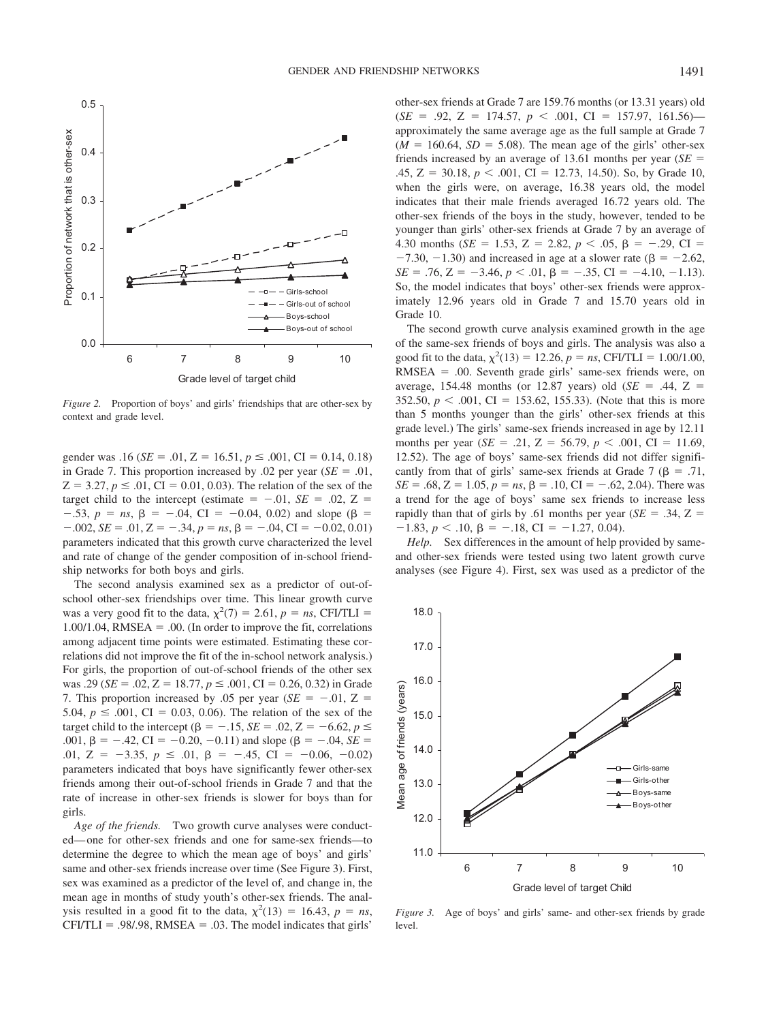

*Figure 2.* Proportion of boys' and girls' friendships that are other-sex by context and grade level.

gender was .16 ( $SE = .01$ ,  $Z = 16.51$ ,  $p \le .001$ ,  $CI = 0.14$ , 0.18) in Grade 7. This proportion increased by .02 per year  $(SE = .01,$  $Z = 3.27, p \le .01, CI = 0.01, 0.03$ . The relation of the sex of the target child to the intercept (estimate  $=$  -.01, *SE* = .02, Z =  $-0.53$ ,  $p = ns$ ,  $\beta = -.04$ , CI = -0.04, 0.02) and slope ( $\beta =$  $-0.002$ , *SE* = .01, Z =  $-.34$ ,  $p = ns$ ,  $\beta = -.04$ , CI =  $-0.02$ , 0.01) parameters indicated that this growth curve characterized the level and rate of change of the gender composition of in-school friendship networks for both boys and girls.

The second analysis examined sex as a predictor of out-ofschool other-sex friendships over time. This linear growth curve was a very good fit to the data,  $\chi^2(7) = 2.61$ ,  $p = ns$ , CFI/TLI =  $1.00/1.04$ , RMSEA = .00. (In order to improve the fit, correlations among adjacent time points were estimated. Estimating these correlations did not improve the fit of the in-school network analysis.) For girls, the proportion of out-of-school friends of the other sex was .29 ( $SE = .02$ ,  $Z = 18.77$ ,  $p \le .001$ ,  $CI = 0.26, 0.32$ ) in Grade 7. This proportion increased by .05 per year  $(SE = -.01, Z =$ 5.04,  $p \le 0.001$ , CI = 0.03, 0.06). The relation of the sex of the target child to the intercept ( $\beta = -.15$ ,  $SE = .02$ ,  $Z = -6.62$ ,  $p \le$ .001,  $\beta = -.42$ , CI = -0.20, -0.11) and slope ( $\beta = -.04$ , *SE* = .01,  $Z = -3.35$ ,  $p \le .01$ ,  $\beta = -0.45$ ,  $CI = -0.06$ ,  $-0.02$ ) parameters indicated that boys have significantly fewer other-sex friends among their out-of-school friends in Grade 7 and that the rate of increase in other-sex friends is slower for boys than for girls.

*Age of the friends.* Two growth curve analyses were conducted— one for other-sex friends and one for same-sex friends—to determine the degree to which the mean age of boys' and girls' same and other-sex friends increase over time (See Figure 3). First, sex was examined as a predictor of the level of, and change in, the mean age in months of study youth's other-sex friends. The analysis resulted in a good fit to the data,  $\chi^2(13) = 16.43$ ,  $p = ns$ ,  $CFI/TLI = .98/.98, RMSEA = .03.$  The model indicates that girls'

other-sex friends at Grade 7 are 159.76 months (or 13.31 years) old  $(SE = .92, Z = 174.57, p < .001, CI = 157.97, 161.56)$ approximately the same average age as the full sample at Grade 7  $(M = 160.64, SD = 5.08)$ . The mean age of the girls' other-sex friends increased by an average of 13.61 months per year (*SE* .45,  $Z = 30.18$ ,  $p < .001$ ,  $CI = 12.73$ , 14.50). So, by Grade 10, when the girls were, on average, 16.38 years old, the model indicates that their male friends averaged 16.72 years old. The other-sex friends of the boys in the study, however, tended to be younger than girls' other-sex friends at Grade 7 by an average of  $4.30$  months (*SE* = 1.53, Z = 2.82,  $p < .05$ ,  $\beta$  = -.29, CI =  $-7.30, -1.30$  and increased in age at a slower rate ( $\beta = -2.62$ ,  $SE = .76$ ,  $Z = -3.46$ ,  $p < .01$ ,  $\beta = -.35$ ,  $CI = -4.10, -1.13$ . So, the model indicates that boys' other-sex friends were approximately 12.96 years old in Grade 7 and 15.70 years old in Grade 10.

The second growth curve analysis examined growth in the age of the same-sex friends of boys and girls. The analysis was also a good fit to the data,  $\chi^2(13) = 12.26$ ,  $p = ns$ , CFI/TLI = 1.00/1.00,  $RMSEA = .00$ . Seventh grade girls' same-sex friends were, on average, 154.48 months (or 12.87 years) old  $(SE = .44, Z =$ 352.50,  $p < .001$ , CI = 153.62, 155.33). (Note that this is more than 5 months younger than the girls' other-sex friends at this grade level.) The girls' same-sex friends increased in age by 12.11 months per year (*SE* = .21, Z = 56.79,  $p < .001$ , CI = 11.69, 12.52). The age of boys' same-sex friends did not differ significantly from that of girls' same-sex friends at Grade 7 ( $\beta = .71$ ,  $SE = .68$ ,  $Z = 1.05$ ,  $p = ns$ ,  $\beta = .10$ ,  $CI = -.62, 2.04$ ). There was a trend for the age of boys' same sex friends to increase less rapidly than that of girls by .61 months per year ( $SE = .34$ ,  $Z =$  $-1.83$ ,  $p < .10$ ,  $\beta = -.18$ , CI = -1.27, 0.04).

*Help.* Sex differences in the amount of help provided by sameand other-sex friends were tested using two latent growth curve analyses (see Figure 4). First, sex was used as a predictor of the



*Figure 3.* Age of boys' and girls' same- and other-sex friends by grade level.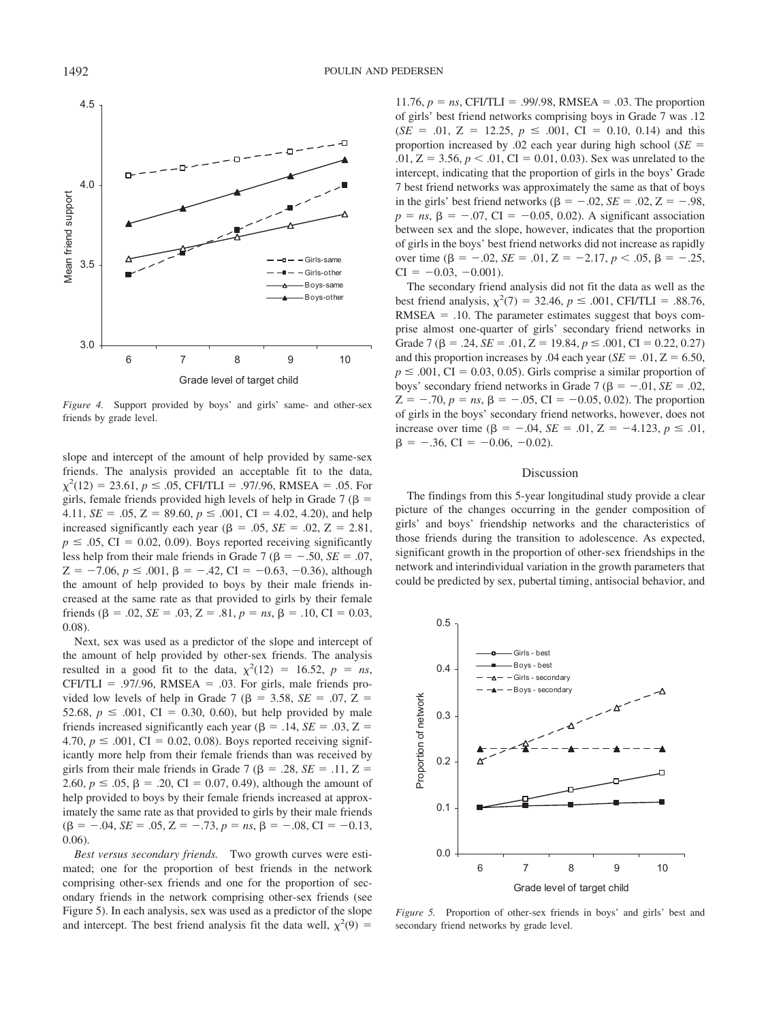

*Figure 4.* Support provided by boys' and girls' same- and other-sex friends by grade level.

slope and intercept of the amount of help provided by same-sex friends. The analysis provided an acceptable fit to the data,  $\chi^2(12) = 23.61, p \le .05$ , CFI/TLI = .97/.96, RMSEA = .05. For girls, female friends provided high levels of help in Grade 7 ( $\beta$  = 4.11,  $SE = .05$ ,  $Z = 89.60$ ,  $p \le .001$ ,  $CI = 4.02$ , 4.20), and help increased significantly each year ( $\beta = .05$ ,  $SE = .02$ ,  $Z = 2.81$ ,  $p \leq 0.05$ , CI = 0.02, 0.09). Boys reported receiving significantly less help from their male friends in Grade 7 ( $\beta = -.50$ , *SE* = .07,  $Z = -7.06, p \leq .001, \beta = -.42, CI = -0.63, -0.36$ , although the amount of help provided to boys by their male friends increased at the same rate as that provided to girls by their female friends ( $\beta = .02$ ,  $SE = .03$ ,  $Z = .81$ ,  $p = ns$ ,  $\beta = .10$ ,  $CI = 0.03$ , 0.08).

Next, sex was used as a predictor of the slope and intercept of the amount of help provided by other-sex friends. The analysis resulted in a good fit to the data,  $\chi^2(12) = 16.52$ ,  $p = ns$ ,  $CFI/TLI = .97/0.96$ , RMSEA = .03. For girls, male friends provided low levels of help in Grade 7 ( $\beta = 3.58$ ,  $SE = .07$ , Z = 52.68,  $p \le 0.001$ , CI = 0.30, 0.60), but help provided by male friends increased significantly each year ( $\beta = .14$ ,  $SE = .03$ ,  $Z =$ 4.70,  $p \le 0.001$ , CI = 0.02, 0.08). Boys reported receiving significantly more help from their female friends than was received by girls from their male friends in Grade 7 ( $\beta = .28$ ,  $SE = .11$ , Z = 2.60,  $p \le 0.05$ ,  $\beta = 0.20$ , CI = 0.07, 0.49), although the amount of help provided to boys by their female friends increased at approximately the same rate as that provided to girls by their male friends  $(\beta = -.04, SE = .05, Z = -.73, p = ns, \beta = -.08, CI = -0.13,$ 0.06).

*Best versus secondary friends.* Two growth curves were estimated; one for the proportion of best friends in the network comprising other-sex friends and one for the proportion of secondary friends in the network comprising other-sex friends (see Figure 5). In each analysis, sex was used as a predictor of the slope and intercept. The best friend analysis fit the data well,  $\chi^2(9)$  =

11.76,  $p = ns$ , CFI/TLI = .99/.98, RMSEA = .03. The proportion of girls' best friend networks comprising boys in Grade 7 was .12  $(SE = .01, Z = 12.25, p \le .001, CI = 0.10, 0.14)$  and this proportion increased by .02 each year during high school (*SE* .01,  $Z = 3.56$ ,  $p < .01$ , CI = 0.01, 0.03). Sex was unrelated to the intercept, indicating that the proportion of girls in the boys' Grade 7 best friend networks was approximately the same as that of boys in the girls' best friend networks ( $\beta = -.02$ ,  $SE = .02$ ,  $Z = -.98$ ,  $p = ns$ ,  $\beta = -.07$ , CI = -0.05, 0.02). A significant association between sex and the slope, however, indicates that the proportion of girls in the boys' best friend networks did not increase as rapidly over time  $(\beta = -.02, SE = .01, Z = -2.17, p < .05, \beta = -.25,$  $CI = -0.03, -0.001$ .

The secondary friend analysis did not fit the data as well as the best friend analysis,  $\chi^2(7) = 32.46$ ,  $p \le .001$ , CFI/TLI = .88.76,  $RMSEA = .10$ . The parameter estimates suggest that boys comprise almost one-quarter of girls' secondary friend networks in Grade 7 ( $\beta = .24$ ,  $SE = .01$ ,  $Z = 19.84$ ,  $p \le .001$ ,  $CI = 0.22$ , 0.27) and this proportion increases by .04 each year ( $SE = .01$ ,  $Z = 6.50$ ,  $p \leq 0.001$ , CI = 0.03, 0.05). Girls comprise a similar proportion of boys' secondary friend networks in Grade 7 ( $\beta = -.01$ , *SE* = .02,  $Z = -.70, p = ns, \beta = -.05, CI = -0.05, 0.02$ . The proportion of girls in the boys' secondary friend networks, however, does not increase over time ( $\beta = -.04$ ,  $SE = .01$ ,  $Z = -4.123$ ,  $p \le .01$ ,  $\beta = -.36$ , CI = -0.06, -0.02).

### Discussion

The findings from this 5-year longitudinal study provide a clear picture of the changes occurring in the gender composition of girls' and boys' friendship networks and the characteristics of those friends during the transition to adolescence. As expected, significant growth in the proportion of other-sex friendships in the network and interindividual variation in the growth parameters that could be predicted by sex, pubertal timing, antisocial behavior, and



*Figure 5.* Proportion of other-sex friends in boys' and girls' best and secondary friend networks by grade level.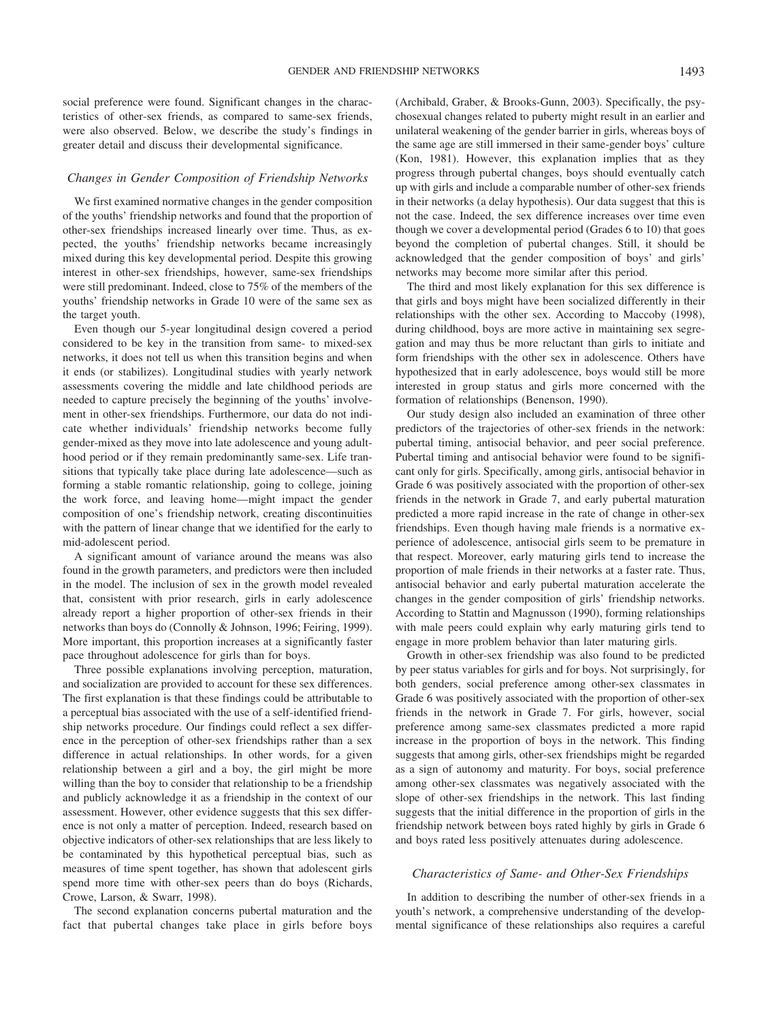social preference were found. Significant changes in the characteristics of other-sex friends, as compared to same-sex friends, were also observed. Below, we describe the study's findings in greater detail and discuss their developmental significance.

## *Changes in Gender Composition of Friendship Networks*

We first examined normative changes in the gender composition of the youths' friendship networks and found that the proportion of other-sex friendships increased linearly over time. Thus, as expected, the youths' friendship networks became increasingly mixed during this key developmental period. Despite this growing interest in other-sex friendships, however, same-sex friendships were still predominant. Indeed, close to 75% of the members of the youths' friendship networks in Grade 10 were of the same sex as the target youth.

Even though our 5-year longitudinal design covered a period considered to be key in the transition from same- to mixed-sex networks, it does not tell us when this transition begins and when it ends (or stabilizes). Longitudinal studies with yearly network assessments covering the middle and late childhood periods are needed to capture precisely the beginning of the youths' involvement in other-sex friendships. Furthermore, our data do not indicate whether individuals' friendship networks become fully gender-mixed as they move into late adolescence and young adulthood period or if they remain predominantly same-sex. Life transitions that typically take place during late adolescence—such as forming a stable romantic relationship, going to college, joining the work force, and leaving home—might impact the gender composition of one's friendship network, creating discontinuities with the pattern of linear change that we identified for the early to mid-adolescent period.

A significant amount of variance around the means was also found in the growth parameters, and predictors were then included in the model. The inclusion of sex in the growth model revealed that, consistent with prior research, girls in early adolescence already report a higher proportion of other-sex friends in their networks than boys do (Connolly & Johnson, 1996; Feiring, 1999). More important, this proportion increases at a significantly faster pace throughout adolescence for girls than for boys.

Three possible explanations involving perception, maturation, and socialization are provided to account for these sex differences. The first explanation is that these findings could be attributable to a perceptual bias associated with the use of a self-identified friendship networks procedure. Our findings could reflect a sex difference in the perception of other-sex friendships rather than a sex difference in actual relationships. In other words, for a given relationship between a girl and a boy, the girl might be more willing than the boy to consider that relationship to be a friendship and publicly acknowledge it as a friendship in the context of our assessment. However, other evidence suggests that this sex difference is not only a matter of perception. Indeed, research based on objective indicators of other-sex relationships that are less likely to be contaminated by this hypothetical perceptual bias, such as measures of time spent together, has shown that adolescent girls spend more time with other-sex peers than do boys (Richards, Crowe, Larson, & Swarr, 1998).

The second explanation concerns pubertal maturation and the fact that pubertal changes take place in girls before boys (Archibald, Graber, & Brooks-Gunn, 2003). Specifically, the psychosexual changes related to puberty might result in an earlier and unilateral weakening of the gender barrier in girls, whereas boys of the same age are still immersed in their same-gender boys' culture (Kon, 1981). However, this explanation implies that as they progress through pubertal changes, boys should eventually catch up with girls and include a comparable number of other-sex friends in their networks (a delay hypothesis). Our data suggest that this is not the case. Indeed, the sex difference increases over time even though we cover a developmental period (Grades 6 to 10) that goes beyond the completion of pubertal changes. Still, it should be acknowledged that the gender composition of boys' and girls' networks may become more similar after this period.

The third and most likely explanation for this sex difference is that girls and boys might have been socialized differently in their relationships with the other sex. According to Maccoby (1998), during childhood, boys are more active in maintaining sex segregation and may thus be more reluctant than girls to initiate and form friendships with the other sex in adolescence. Others have hypothesized that in early adolescence, boys would still be more interested in group status and girls more concerned with the formation of relationships (Benenson, 1990).

Our study design also included an examination of three other predictors of the trajectories of other-sex friends in the network: pubertal timing, antisocial behavior, and peer social preference. Pubertal timing and antisocial behavior were found to be significant only for girls. Specifically, among girls, antisocial behavior in Grade 6 was positively associated with the proportion of other-sex friends in the network in Grade 7, and early pubertal maturation predicted a more rapid increase in the rate of change in other-sex friendships. Even though having male friends is a normative experience of adolescence, antisocial girls seem to be premature in that respect. Moreover, early maturing girls tend to increase the proportion of male friends in their networks at a faster rate. Thus, antisocial behavior and early pubertal maturation accelerate the changes in the gender composition of girls' friendship networks. According to Stattin and Magnusson (1990), forming relationships with male peers could explain why early maturing girls tend to engage in more problem behavior than later maturing girls.

Growth in other-sex friendship was also found to be predicted by peer status variables for girls and for boys. Not surprisingly, for both genders, social preference among other-sex classmates in Grade 6 was positively associated with the proportion of other-sex friends in the network in Grade 7. For girls, however, social preference among same-sex classmates predicted a more rapid increase in the proportion of boys in the network. This finding suggests that among girls, other-sex friendships might be regarded as a sign of autonomy and maturity. For boys, social preference among other-sex classmates was negatively associated with the slope of other-sex friendships in the network. This last finding suggests that the initial difference in the proportion of girls in the friendship network between boys rated highly by girls in Grade 6 and boys rated less positively attenuates during adolescence.

## *Characteristics of Same- and Other-Sex Friendships*

In addition to describing the number of other-sex friends in a youth's network, a comprehensive understanding of the developmental significance of these relationships also requires a careful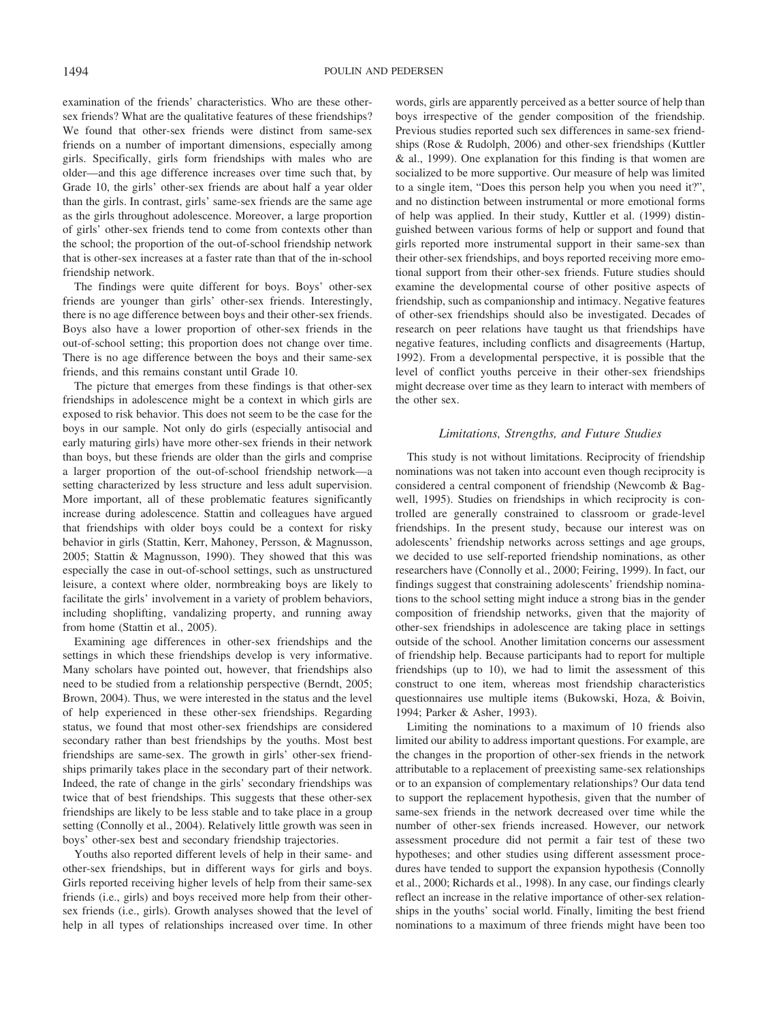examination of the friends' characteristics. Who are these othersex friends? What are the qualitative features of these friendships? We found that other-sex friends were distinct from same-sex friends on a number of important dimensions, especially among girls. Specifically, girls form friendships with males who are older—and this age difference increases over time such that, by Grade 10, the girls' other-sex friends are about half a year older than the girls. In contrast, girls' same-sex friends are the same age as the girls throughout adolescence. Moreover, a large proportion of girls' other-sex friends tend to come from contexts other than the school; the proportion of the out-of-school friendship network that is other-sex increases at a faster rate than that of the in-school friendship network.

The findings were quite different for boys. Boys' other-sex friends are younger than girls' other-sex friends. Interestingly, there is no age difference between boys and their other-sex friends. Boys also have a lower proportion of other-sex friends in the out-of-school setting; this proportion does not change over time. There is no age difference between the boys and their same-sex friends, and this remains constant until Grade 10.

The picture that emerges from these findings is that other-sex friendships in adolescence might be a context in which girls are exposed to risk behavior. This does not seem to be the case for the boys in our sample. Not only do girls (especially antisocial and early maturing girls) have more other-sex friends in their network than boys, but these friends are older than the girls and comprise a larger proportion of the out-of-school friendship network—a setting characterized by less structure and less adult supervision. More important, all of these problematic features significantly increase during adolescence. Stattin and colleagues have argued that friendships with older boys could be a context for risky behavior in girls (Stattin, Kerr, Mahoney, Persson, & Magnusson, 2005; Stattin & Magnusson, 1990). They showed that this was especially the case in out-of-school settings, such as unstructured leisure, a context where older, normbreaking boys are likely to facilitate the girls' involvement in a variety of problem behaviors, including shoplifting, vandalizing property, and running away from home (Stattin et al., 2005).

Examining age differences in other-sex friendships and the settings in which these friendships develop is very informative. Many scholars have pointed out, however, that friendships also need to be studied from a relationship perspective (Berndt, 2005; Brown, 2004). Thus, we were interested in the status and the level of help experienced in these other-sex friendships. Regarding status, we found that most other-sex friendships are considered secondary rather than best friendships by the youths. Most best friendships are same-sex. The growth in girls' other-sex friendships primarily takes place in the secondary part of their network. Indeed, the rate of change in the girls' secondary friendships was twice that of best friendships. This suggests that these other-sex friendships are likely to be less stable and to take place in a group setting (Connolly et al., 2004). Relatively little growth was seen in boys' other-sex best and secondary friendship trajectories.

Youths also reported different levels of help in their same- and other-sex friendships, but in different ways for girls and boys. Girls reported receiving higher levels of help from their same-sex friends (i.e., girls) and boys received more help from their othersex friends (i.e., girls). Growth analyses showed that the level of help in all types of relationships increased over time. In other words, girls are apparently perceived as a better source of help than boys irrespective of the gender composition of the friendship. Previous studies reported such sex differences in same-sex friendships (Rose & Rudolph, 2006) and other-sex friendships (Kuttler & al., 1999). One explanation for this finding is that women are socialized to be more supportive. Our measure of help was limited to a single item, "Does this person help you when you need it?", and no distinction between instrumental or more emotional forms of help was applied. In their study, Kuttler et al. (1999) distinguished between various forms of help or support and found that girls reported more instrumental support in their same-sex than their other-sex friendships, and boys reported receiving more emotional support from their other-sex friends. Future studies should examine the developmental course of other positive aspects of friendship, such as companionship and intimacy. Negative features of other-sex friendships should also be investigated. Decades of research on peer relations have taught us that friendships have negative features, including conflicts and disagreements (Hartup, 1992). From a developmental perspective, it is possible that the level of conflict youths perceive in their other-sex friendships might decrease over time as they learn to interact with members of the other sex.

## *Limitations, Strengths, and Future Studies*

This study is not without limitations. Reciprocity of friendship nominations was not taken into account even though reciprocity is considered a central component of friendship (Newcomb & Bagwell, 1995). Studies on friendships in which reciprocity is controlled are generally constrained to classroom or grade-level friendships. In the present study, because our interest was on adolescents' friendship networks across settings and age groups, we decided to use self-reported friendship nominations, as other researchers have (Connolly et al., 2000; Feiring, 1999). In fact, our findings suggest that constraining adolescents' friendship nominations to the school setting might induce a strong bias in the gender composition of friendship networks, given that the majority of other-sex friendships in adolescence are taking place in settings outside of the school. Another limitation concerns our assessment of friendship help. Because participants had to report for multiple friendships (up to 10), we had to limit the assessment of this construct to one item, whereas most friendship characteristics questionnaires use multiple items (Bukowski, Hoza, & Boivin, 1994; Parker & Asher, 1993).

Limiting the nominations to a maximum of 10 friends also limited our ability to address important questions. For example, are the changes in the proportion of other-sex friends in the network attributable to a replacement of preexisting same-sex relationships or to an expansion of complementary relationships? Our data tend to support the replacement hypothesis, given that the number of same-sex friends in the network decreased over time while the number of other-sex friends increased. However, our network assessment procedure did not permit a fair test of these two hypotheses; and other studies using different assessment procedures have tended to support the expansion hypothesis (Connolly et al., 2000; Richards et al., 1998). In any case, our findings clearly reflect an increase in the relative importance of other-sex relationships in the youths' social world. Finally, limiting the best friend nominations to a maximum of three friends might have been too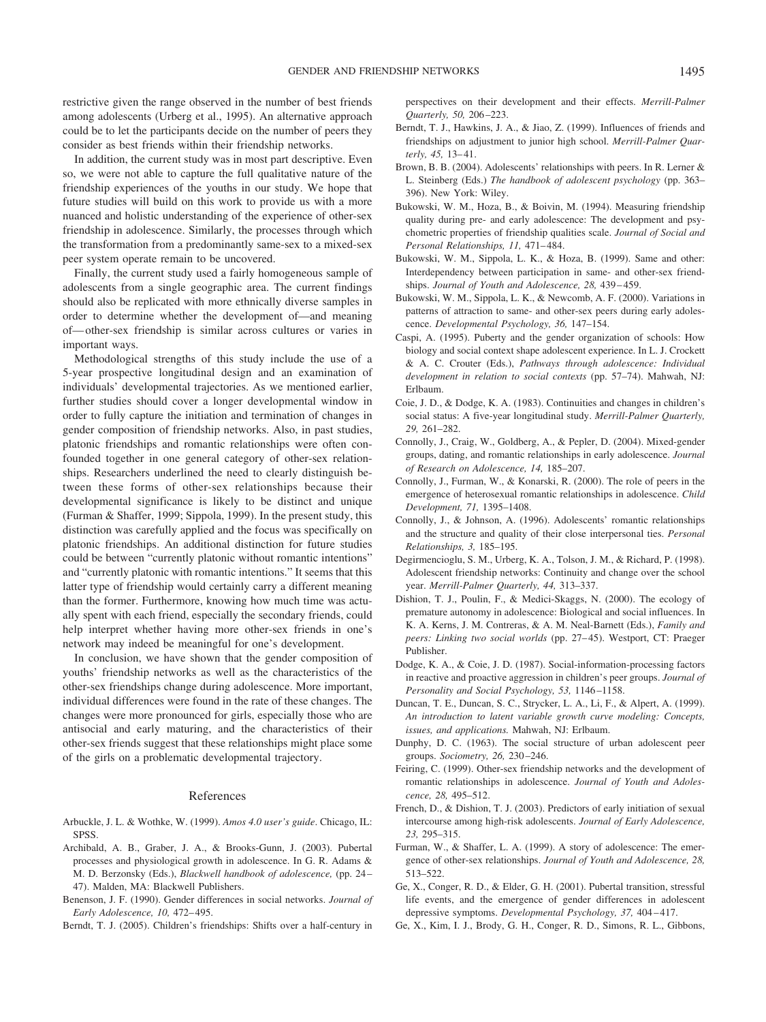restrictive given the range observed in the number of best friends among adolescents (Urberg et al., 1995). An alternative approach could be to let the participants decide on the number of peers they consider as best friends within their friendship networks.

In addition, the current study was in most part descriptive. Even so, we were not able to capture the full qualitative nature of the friendship experiences of the youths in our study. We hope that future studies will build on this work to provide us with a more nuanced and holistic understanding of the experience of other-sex friendship in adolescence. Similarly, the processes through which the transformation from a predominantly same-sex to a mixed-sex peer system operate remain to be uncovered.

Finally, the current study used a fairly homogeneous sample of adolescents from a single geographic area. The current findings should also be replicated with more ethnically diverse samples in order to determine whether the development of—and meaning of— other-sex friendship is similar across cultures or varies in important ways.

Methodological strengths of this study include the use of a 5-year prospective longitudinal design and an examination of individuals' developmental trajectories. As we mentioned earlier, further studies should cover a longer developmental window in order to fully capture the initiation and termination of changes in gender composition of friendship networks. Also, in past studies, platonic friendships and romantic relationships were often confounded together in one general category of other-sex relationships. Researchers underlined the need to clearly distinguish between these forms of other-sex relationships because their developmental significance is likely to be distinct and unique (Furman & Shaffer, 1999; Sippola, 1999). In the present study, this distinction was carefully applied and the focus was specifically on platonic friendships. An additional distinction for future studies could be between "currently platonic without romantic intentions" and "currently platonic with romantic intentions." It seems that this latter type of friendship would certainly carry a different meaning than the former. Furthermore, knowing how much time was actually spent with each friend, especially the secondary friends, could help interpret whether having more other-sex friends in one's network may indeed be meaningful for one's development.

In conclusion, we have shown that the gender composition of youths' friendship networks as well as the characteristics of the other-sex friendships change during adolescence. More important, individual differences were found in the rate of these changes. The changes were more pronounced for girls, especially those who are antisocial and early maturing, and the characteristics of their other-sex friends suggest that these relationships might place some of the girls on a problematic developmental trajectory.

#### References

- Arbuckle, J. L. & Wothke, W. (1999). *Amos 4.0 user's guide*. Chicago, IL: **SPSS**.
- Archibald, A. B., Graber, J. A., & Brooks-Gunn, J. (2003). Pubertal processes and physiological growth in adolescence. In G. R. Adams & M. D. Berzonsky (Eds.), *Blackwell handbook of adolescence,* (pp. 24 – 47). Malden, MA: Blackwell Publishers.
- Benenson, J. F. (1990). Gender differences in social networks. *Journal of Early Adolescence, 10,* 472– 495.

Berndt, T. J. (2005). Children's friendships: Shifts over a half-century in

perspectives on their development and their effects. *Merrill-Palmer Quarterly, 50,* 206 –223.

- Berndt, T. J., Hawkins, J. A., & Jiao, Z. (1999). Influences of friends and friendships on adjustment to junior high school. *Merrill-Palmer Quarterly, 45,* 13– 41.
- Brown, B. B. (2004). Adolescents' relationships with peers. In R. Lerner & L. Steinberg (Eds.) *The handbook of adolescent psychology* (pp. 363– 396). New York: Wiley.
- Bukowski, W. M., Hoza, B., & Boivin, M. (1994). Measuring friendship quality during pre- and early adolescence: The development and psychometric properties of friendship qualities scale. *Journal of Social and Personal Relationships, 11,* 471– 484.
- Bukowski, W. M., Sippola, L. K., & Hoza, B. (1999). Same and other: Interdependency between participation in same- and other-sex friendships. *Journal of Youth and Adolescence, 28,* 439 – 459.
- Bukowski, W. M., Sippola, L. K., & Newcomb, A. F. (2000). Variations in patterns of attraction to same- and other-sex peers during early adolescence. *Developmental Psychology, 36,* 147–154.
- Caspi, A. (1995). Puberty and the gender organization of schools: How biology and social context shape adolescent experience. In L. J. Crockett & A. C. Crouter (Eds.), *Pathways through adolescence: Individual development in relation to social contexts* (pp. 57–74). Mahwah, NJ: Erlbaum.
- Coie, J. D., & Dodge, K. A. (1983). Continuities and changes in children's social status: A five-year longitudinal study. *Merrill-Palmer Quarterly, 29,* 261–282.
- Connolly, J., Craig, W., Goldberg, A., & Pepler, D. (2004). Mixed-gender groups, dating, and romantic relationships in early adolescence. *Journal of Research on Adolescence, 14,* 185–207.
- Connolly, J., Furman, W., & Konarski, R. (2000). The role of peers in the emergence of heterosexual romantic relationships in adolescence. *Child Development, 71,* 1395–1408.
- Connolly, J., & Johnson, A. (1996). Adolescents' romantic relationships and the structure and quality of their close interpersonal ties. *Personal Relationships, 3,* 185–195.
- Degirmencioglu, S. M., Urberg, K. A., Tolson, J. M., & Richard, P. (1998). Adolescent friendship networks: Continuity and change over the school year. *Merrill-Palmer Quarterly, 44,* 313–337.
- Dishion, T. J., Poulin, F., & Medici-Skaggs, N. (2000). The ecology of premature autonomy in adolescence: Biological and social influences. In K. A. Kerns, J. M. Contreras, & A. M. Neal-Barnett (Eds.), *Family and peers: Linking two social worlds* (pp. 27– 45). Westport, CT: Praeger Publisher.
- Dodge, K. A., & Coie, J. D. (1987). Social-information-processing factors in reactive and proactive aggression in children's peer groups. *Journal of Personality and Social Psychology, 53,* 1146 –1158.
- Duncan, T. E., Duncan, S. C., Strycker, L. A., Li, F., & Alpert, A. (1999). *An introduction to latent variable growth curve modeling: Concepts, issues, and applications.* Mahwah, NJ: Erlbaum.
- Dunphy, D. C. (1963). The social structure of urban adolescent peer groups. *Sociometry, 26,* 230 –246.
- Feiring, C. (1999). Other-sex friendship networks and the development of romantic relationships in adolescence. *Journal of Youth and Adolescence, 28,* 495–512.
- French, D., & Dishion, T. J. (2003). Predictors of early initiation of sexual intercourse among high-risk adolescents. *Journal of Early Adolescence, 23,* 295–315.
- Furman, W., & Shaffer, L. A. (1999). A story of adolescence: The emergence of other-sex relationships. *Journal of Youth and Adolescence, 28,* 513–522.
- Ge, X., Conger, R. D., & Elder, G. H. (2001). Pubertal transition, stressful life events, and the emergence of gender differences in adolescent depressive symptoms. *Developmental Psychology, 37, 404-417*.
- Ge, X., Kim, I. J., Brody, G. H., Conger, R. D., Simons, R. L., Gibbons,